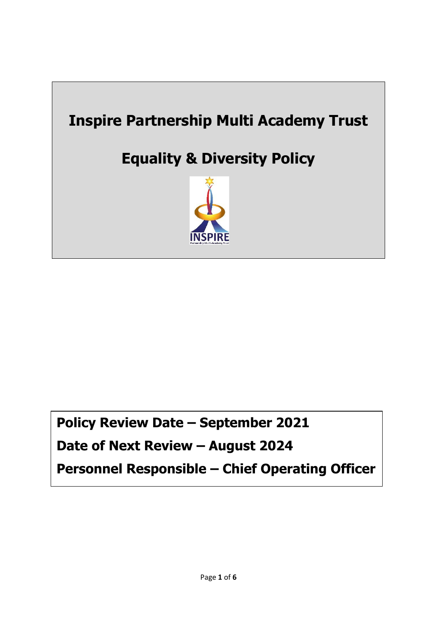

**Policy Review Date – September 2021 Date of Next Review – August 2024 Personnel Responsible – Chief Operating Officer**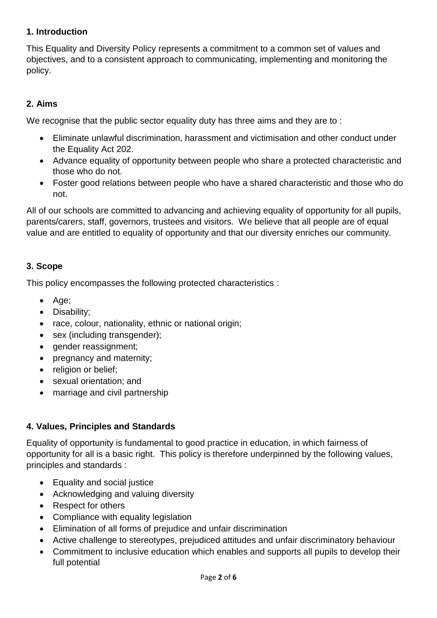## **1. Introduction**

This Equality and Diversity Policy represents a commitment to a common set of values and objectives, and to a consistent approach to communicating, implementing and monitoring the policy.

# **2. Aims**

We recognise that the public sector equality duty has three aims and they are to :

- Eliminate unlawful discrimination, harassment and victimisation and other conduct under the Equality Act 202.
- Advance equality of opportunity between people who share a protected characteristic and those who do not.
- Foster good relations between people who have a shared characteristic and those who do not.

All of our schools are committed to advancing and achieving equality of opportunity for all pupils, parents/carers, staff, governors, trustees and visitors. We believe that all people are of equal value and are entitled to equality of opportunity and that our diversity enriches our community.

# **3. Scope**

This policy encompasses the following protected characteristics :

- Age;
- Disability;
- race, colour, nationality, ethnic or national origin;
- sex (including transgender):
- gender reassignment;
- pregnancy and maternity;
- religion or belief:
- sexual orientation; and
- marriage and civil partnership

# **4. Values, Principles and Standards**

Equality of opportunity is fundamental to good practice in education, in which fairness of opportunity for all is a basic right. This policy is therefore underpinned by the following values, principles and standards :

- Equality and social justice
- Acknowledging and valuing diversity
- Respect for others
- Compliance with equality legislation
- Elimination of all forms of prejudice and unfair discrimination
- Active challenge to stereotypes, prejudiced attitudes and unfair discriminatory behaviour
- Commitment to inclusive education which enables and supports all pupils to develop their full potential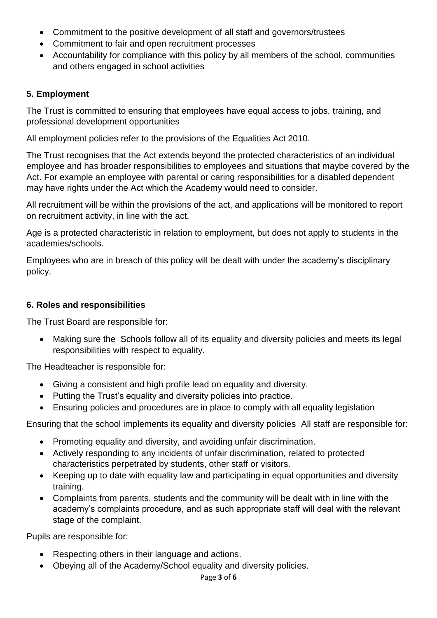- Commitment to the positive development of all staff and governors/trustees
- Commitment to fair and open recruitment processes
- Accountability for compliance with this policy by all members of the school, communities and others engaged in school activities

# **5. Employment**

The Trust is committed to ensuring that employees have equal access to jobs, training, and professional development opportunities

All employment policies refer to the provisions of the Equalities Act 2010.

The Trust recognises that the Act extends beyond the protected characteristics of an individual employee and has broader responsibilities to employees and situations that maybe covered by the Act. For example an employee with parental or caring responsibilities for a disabled dependent may have rights under the Act which the Academy would need to consider.

All recruitment will be within the provisions of the act, and applications will be monitored to report on recruitment activity, in line with the act.

Age is a protected characteristic in relation to employment, but does not apply to students in the academies/schools.

Employees who are in breach of this policy will be dealt with under the academy's disciplinary policy.

## **6. Roles and responsibilities**

The Trust Board are responsible for:

• Making sure the Schools follow all of its equality and diversity policies and meets its legal responsibilities with respect to equality.

The Headteacher is responsible for:

- Giving a consistent and high profile lead on equality and diversity.
- Putting the Trust's equality and diversity policies into practice.
- Ensuring policies and procedures are in place to comply with all equality legislation

Ensuring that the school implements its equality and diversity policies All staff are responsible for:

- Promoting equality and diversity, and avoiding unfair discrimination.
- Actively responding to any incidents of unfair discrimination, related to protected characteristics perpetrated by students, other staff or visitors.
- Keeping up to date with equality law and participating in equal opportunities and diversity training.
- Complaints from parents, students and the community will be dealt with in line with the academy's complaints procedure, and as such appropriate staff will deal with the relevant stage of the complaint.

Pupils are responsible for:

- Respecting others in their language and actions.
- Obeying all of the Academy/School equality and diversity policies.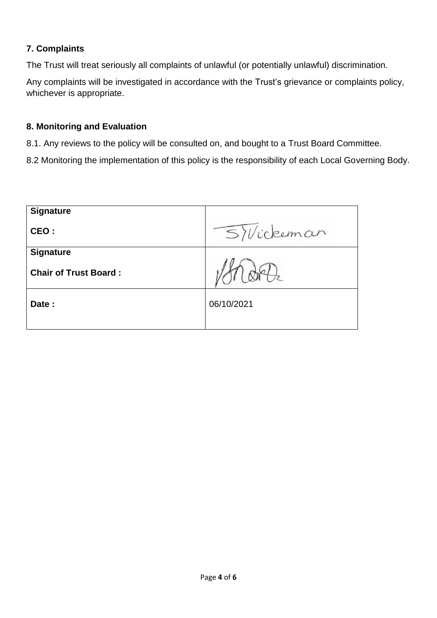## **7. Complaints**

The Trust will treat seriously all complaints of unlawful (or potentially unlawful) discrimination.

Any complaints will be investigated in accordance with the Trust's grievance or complaints policy, whichever is appropriate.

## **8. Monitoring and Evaluation**

8.1. Any reviews to the policy will be consulted on, and bought to a Trust Board Committee.

8.2 Monitoring the implementation of this policy is the responsibility of each Local Governing Body.

| <b>Signature</b>             |            |
|------------------------------|------------|
| CEO:                         | SVickeman  |
| <b>Signature</b>             |            |
| <b>Chair of Trust Board:</b> |            |
| Date:                        | 06/10/2021 |
|                              |            |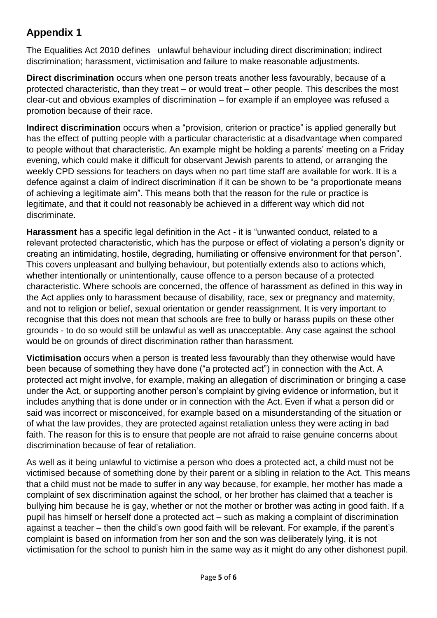# **Appendix 1**

The Equalities Act 2010 defines unlawful behaviour including direct discrimination; indirect discrimination; harassment, victimisation and failure to make reasonable adjustments.

**Direct discrimination** occurs when one person treats another less favourably, because of a protected characteristic, than they treat – or would treat – other people. This describes the most clear-cut and obvious examples of discrimination – for example if an employee was refused a promotion because of their race.

**Indirect discrimination** occurs when a "provision, criterion or practice" is applied generally but has the effect of putting people with a particular characteristic at a disadvantage when compared to people without that characteristic. An example might be holding a parents' meeting on a Friday evening, which could make it difficult for observant Jewish parents to attend, or arranging the weekly CPD sessions for teachers on days when no part time staff are available for work. It is a defence against a claim of indirect discrimination if it can be shown to be "a proportionate means of achieving a legitimate aim". This means both that the reason for the rule or practice is legitimate, and that it could not reasonably be achieved in a different way which did not discriminate.

**Harassment** has a specific legal definition in the Act - it is "unwanted conduct, related to a relevant protected characteristic, which has the purpose or effect of violating a person's dignity or creating an intimidating, hostile, degrading, humiliating or offensive environment for that person". This covers unpleasant and bullying behaviour, but potentially extends also to actions which, whether intentionally or unintentionally, cause offence to a person because of a protected characteristic. Where schools are concerned, the offence of harassment as defined in this way in the Act applies only to harassment because of disability, race, sex or pregnancy and maternity, and not to religion or belief, sexual orientation or gender reassignment. It is very important to recognise that this does not mean that schools are free to bully or harass pupils on these other grounds - to do so would still be unlawful as well as unacceptable. Any case against the school would be on grounds of direct discrimination rather than harassment.

**Victimisation** occurs when a person is treated less favourably than they otherwise would have been because of something they have done ("a protected act") in connection with the Act. A protected act might involve, for example, making an allegation of discrimination or bringing a case under the Act, or supporting another person's complaint by giving evidence or information, but it includes anything that is done under or in connection with the Act. Even if what a person did or said was incorrect or misconceived, for example based on a misunderstanding of the situation or of what the law provides, they are protected against retaliation unless they were acting in bad faith. The reason for this is to ensure that people are not afraid to raise genuine concerns about discrimination because of fear of retaliation.

As well as it being unlawful to victimise a person who does a protected act, a child must not be victimised because of something done by their parent or a sibling in relation to the Act. This means that a child must not be made to suffer in any way because, for example, her mother has made a complaint of sex discrimination against the school, or her brother has claimed that a teacher is bullying him because he is gay, whether or not the mother or brother was acting in good faith. If a pupil has himself or herself done a protected act – such as making a complaint of discrimination against a teacher – then the child's own good faith will be relevant. For example, if the parent's complaint is based on information from her son and the son was deliberately lying, it is not victimisation for the school to punish him in the same way as it might do any other dishonest pupil.